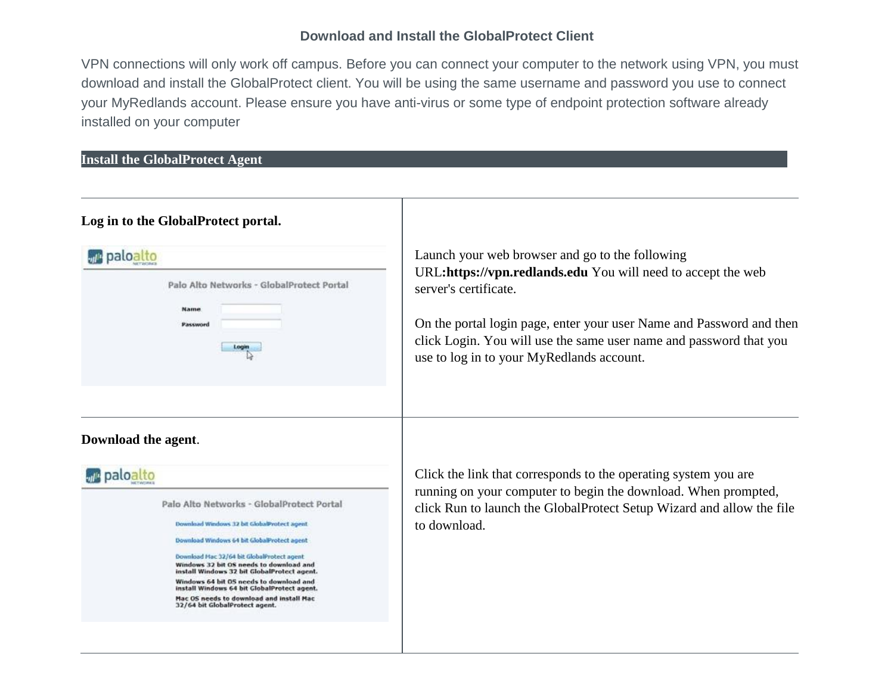## **Download and Install the GlobalProtect Client**

VPN connections will only work off campus. Before you can connect your computer to the network using VPN, you must download and install the GlobalProtect client. You will be using the same username and password you use to connect your MyRedlands account. Please ensure you have anti-virus or some type of endpoint protection software already installed on your computer

## **Install the GlobalProtect Agent**

## **Log in to the GlobalProtect portal.**

|  |          |       | Palo Alto Networks - GlobalProtect Portal |  |
|--|----------|-------|-------------------------------------------|--|
|  | Name     |       |                                           |  |
|  | Password |       |                                           |  |
|  |          | Login |                                           |  |



Launch your web browser and go to the following URL**:https://vpn.redlands.edu** You will need to accept the web server's certificate.

On the portal login page, enter your user Name and Password and then click Login. You will use the same user name and password that you use to log in to your MyRedlands account.

Click the link that corresponds to the operating system you are running on your computer to begin the download. When prompted, click Run to launch the GlobalProtect Setup Wizard and allow the file to download.